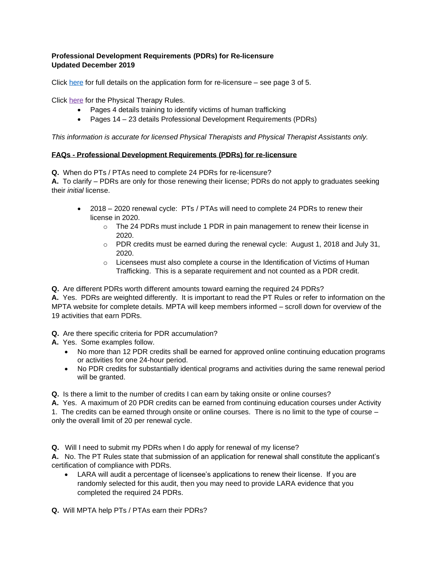## **Professional Development Requirements (PDRs) for Re-licensure Updated December 2019**

Click [here](http://www.michigan.gov/documents/lara/Physical_Therapy_form_new_fees_and_juris_543454_7.pdf) for full details on the application form for re-licensure – see page 3 of 5.

Click [here](https://mpta.com/pdfs/General%20Rules%20Dec2019.pdf) for the Physical Therapy Rules.

- Pages 4 details training to identify victims of human trafficking
- Pages 14 23 details Professional Development Requirements (PDRs)

*This information is accurate for licensed Physical Therapists and Physical Therapist Assistants only.* 

## **FAQs - Professional Development Requirements (PDRs) for re-licensure**

**Q.** When do PTs / PTAs need to complete 24 PDRs for re-licensure?

**A.** To clarify – PDRs are only for those renewing their license; PDRs do not apply to graduates seeking their *initial* license.

- 2018 2020 renewal cycle: PTs / PTAs will need to complete 24 PDRs to renew their license in 2020.
	- $\circ$  The 24 PDRs must include 1 PDR in pain management to renew their license in 2020.
	- o PDR credits must be earned during the renewal cycle: August 1, 2018 and July 31, 2020.
	- $\circ$  Licensees must also complete a course in the Identification of Victims of Human Trafficking. This is a separate requirement and not counted as a PDR credit.

**Q.** Are different PDRs worth different amounts toward earning the required 24 PDRs?

**A.** Yes. PDRs are weighted differently. It is important to read the PT Rules or refer to information on the MPTA website for complete details. MPTA will keep members informed – scroll down for overview of the 19 activities that earn PDRs.

**Q.** Are there specific criteria for PDR accumulation?

**A.** Yes. Some examples follow.

- No more than 12 PDR credits shall be earned for approved online continuing education programs or activities for one 24-hour period.
- No PDR credits for substantially identical programs and activities during the same renewal period will be granted.

**Q.** Is there a limit to the number of credits I can earn by taking onsite or online courses?

**A.** Yes.A maximum of 20 PDR credits can be earned from continuing education courses under Activity 1. The credits can be earned through onsite or online courses. There is no limit to the type of course – only the overall limit of 20 per renewal cycle.

**Q.** Will I need to submit my PDRs when I do apply for renewal of my license?

**A.** No. The PT Rules state that submission of an application for renewal shall constitute the applicant's certification of compliance with PDRs.

LARA will audit a percentage of licensee's applications to renew their license. If you are randomly selected for this audit, then you may need to provide LARA evidence that you completed the required 24 PDRs.

**Q.** Will MPTA help PTs / PTAs earn their PDRs?